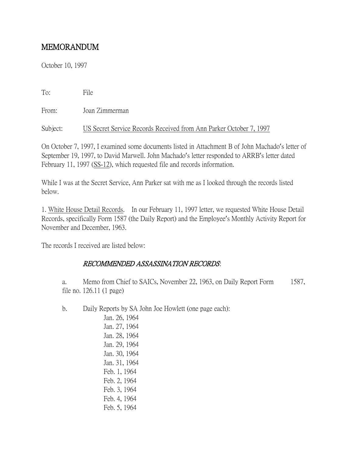# MEMORANDUM

October 10, 1997

To: File

From: Joan Zimmerman

Subject: US Secret Service Records Received from Ann Parker October 7, 1997

On October 7, 1997, I examined some documents listed in Attachment B of John Machado's letter of September 19, 1997, to David Marwell. John Machado's letter responded to ARRB's letter dated February 11, 1997 (SS-12), which requested file and records information.

While I was at the Secret Service, Ann Parker sat with me as I looked through the records listed below.

1. White House Detail Records. In our February 11, 1997 letter, we requested White House Detail Records, specifically Form 1587 (the Daily Report) and the Employee's Monthly Activity Report for November and December, 1963.

The records I received are listed below:

## RECOMMENDED ASSASSINATION RECORDS:

a. Memo from Chief to SAICs, November 22, 1963, on Daily Report Form 1587, file no. 126.11 (1 page)

b. Daily Reports by SA John Joe Howlett (one page each):

Jan. 26, 1964 Jan. 27, 1964 Jan. 28, 1964 Jan. 29, 1964 Jan. 30, 1964 Jan. 31, 1964 Feb. 1, 1964 Feb. 2, 1964 Feb. 3, 1964 Feb. 4, 1964 Feb. 5, 1964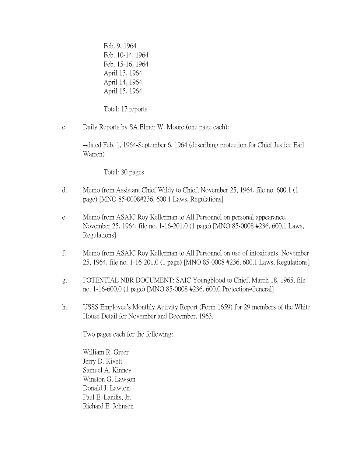Feb. 9, 1964 Feb. 10-14, 1964 Feb. 15-16, 1964 April 13, 1964 April 14, 1964 April 15, 1964

Total: 17 reports

c. Daily Reports by SA Elmer W. Moore (one page each):

--dated Feb. 1, 1964-September 6, 1964 (describing protection for Chief Justice Earl Warren)

Total: 30 pages

- d. Memo from Assistant Chief Wildy to Chief, November 25, 1964, file no. 600.1 (1 page) [MNO 85-0008#236, 600.1 Laws, Regulations]
- e. Memo from ASAIC Roy Kellerman to All Personnel on personal appearance, November 25, 1964, file no. 1-16-201.0 (1 page) [MNO 85-0008 #236, 600.1 Laws, Regulations]
- f. Memo from ASAIC Roy Kellerman to All Personnel on use of intoxicants, November 25, 1964, file no. 1-16-201.0 (1 page) [MNO 85-0008 #236, 600.1 Laws, Regulations]
- g. POTENTIAL NBR DOCUMENT: SAIC Youngblood to Chief, March 18, 1965, file no. 1-16-600.0 (1 page) [MNO 85-0008 #236, 600.0 Protection-General]
- h. USSS Employee's Monthly Activity Report (Form 1659) for 29 members of the White House Detail for November and December, 1963.

Two pages each for the following:

William R. Greer Jerry D. Kivett Samuel A. Kinney Winston G. Lawson Donald J. Lawton Paul E. Landis, Jr. Richard E. Johnsen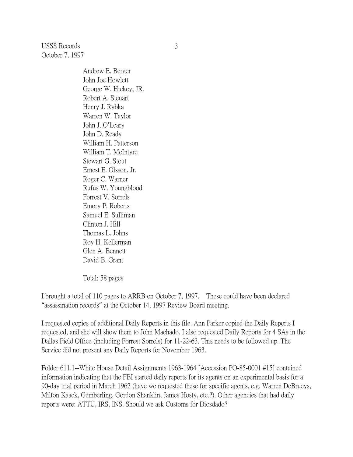USSS Records October 7, 1997

> Andrew E. Berger John Joe Howlett George W. Hickey, JR. Robert A. Steuart Henry J. Rybka Warren W. Taylor John J. O'Leary John D. Ready William H. Patterson William T. McIntyre Stewart G. Stout Ernest E. Olsson, Jr. Roger C. Warner Rufus W. Youngblood Forrest V. Sorrels Emory P. Roberts Samuel E. Sulliman Clinton J. Hill Thomas L. Johns Roy H. Kellerman Glen A. Bennett David B. Grant

Total: 58 pages

I brought a total of 110 pages to ARRB on October 7, 1997. These could have been declared "assassination records" at the October 14, 1997 Review Board meeting.

I requested copies of additional Daily Reports in this file. Ann Parker copied the Daily Reports I requested, and she will show them to John Machado. I also requested Daily Reports for 4 SAs in the Dallas Field Office (including Forrest Sorrels) for 11-22-63. This needs to be followed up. The Service did not present any Daily Reports for November 1963.

Folder 611.1--White House Detail Assignments 1963-1964 [Accession PO-85-0001 #15] contained information indicating that the FBI started daily reports for its agents on an experimental basis for a 90-day trial period in March 1962 (have we requested these for specific agents, e.g. Warren DeBrueys, Milton Kaack, Gemberling, Gordon Shanklin, James Hosty, etc.?). Other agencies that had daily reports were: ATTU, IRS, INS. Should we ask Customs for Diosdado?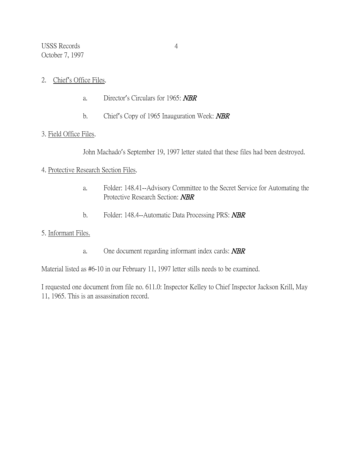USSS Records October 7, 1997

- 2. Chief's Office Files.
	- a. Director's Circulars for 1965: NBR
	- b. Chief's Copy of 1965 Inauguration Week: **NBR**

#### 3. Field Office Files.

John Machado's September 19, 1997 letter stated that these files had been destroyed.

### 4. Protective Research Section Files.

- a. Folder: 148.41--Advisory Committee to the Secret Service for Automating the Protective Research Section: NBR
- b. Folder: 148.4--Automatic Data Processing PRS: **NBR**

# 5. Informant Files.

a. One document regarding informant index cards: **NBR** 

Material listed as #6-10 in our February 11, 1997 letter stills needs to be examined.

I requested one document from file no. 611.0: Inspector Kelley to Chief Inspector Jackson Krill, May 11, 1965. This is an assassination record.